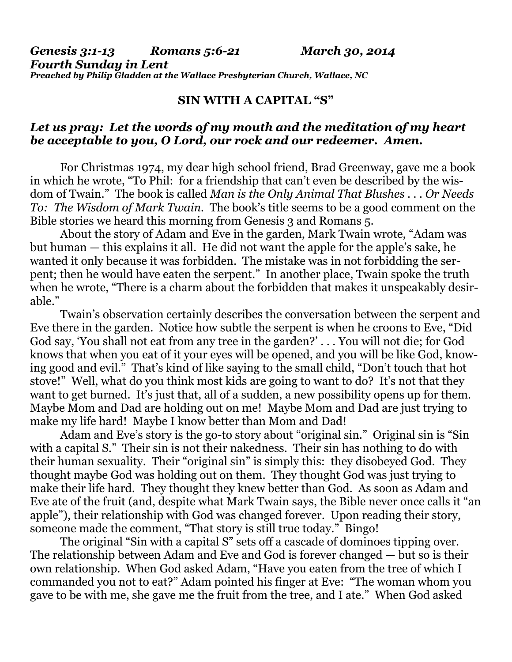*Genesis 3:1-13 Romans 5:6-21 March 30, 2014 Fourth Sunday in Lent Preached by Philip Gladden at the Wallace Presbyterian Church, Wallace, NC* 

## **SIN WITH A CAPITAL "S"**

## *Let us pray: Let the words of my mouth and the meditation of my heart be acceptable to you, O Lord, our rock and our redeemer. Amen.*

For Christmas 1974, my dear high school friend, Brad Greenway, gave me a book in which he wrote, "To Phil: for a friendship that can't even be described by the wisdom of Twain." The book is called *Man is the Only Animal That Blushes . . . Or Needs To: The Wisdom of Mark Twain.* The book's title seems to be a good comment on the Bible stories we heard this morning from Genesis 3 and Romans 5.

 About the story of Adam and Eve in the garden, Mark Twain wrote, "Adam was but human — this explains it all. He did not want the apple for the apple's sake, he wanted it only because it was forbidden. The mistake was in not forbidding the serpent; then he would have eaten the serpent." In another place, Twain spoke the truth when he wrote, "There is a charm about the forbidden that makes it unspeakably desirable."

 Twain's observation certainly describes the conversation between the serpent and Eve there in the garden. Notice how subtle the serpent is when he croons to Eve, "Did God say, 'You shall not eat from any tree in the garden?' . . . You will not die; for God knows that when you eat of it your eyes will be opened, and you will be like God, knowing good and evil." That's kind of like saying to the small child, "Don't touch that hot stove!" Well, what do you think most kids are going to want to do? It's not that they want to get burned. It's just that, all of a sudden, a new possibility opens up for them. Maybe Mom and Dad are holding out on me! Maybe Mom and Dad are just trying to make my life hard! Maybe I know better than Mom and Dad!

 Adam and Eve's story is the go-to story about "original sin." Original sin is "Sin with a capital S." Their sin is not their nakedness. Their sin has nothing to do with their human sexuality. Their "original sin" is simply this: they disobeyed God. They thought maybe God was holding out on them. They thought God was just trying to make their life hard. They thought they knew better than God. As soon as Adam and Eve ate of the fruit (and, despite what Mark Twain says, the Bible never once calls it "an apple"), their relationship with God was changed forever. Upon reading their story, someone made the comment, "That story is still true today." Bingo!

 The original "Sin with a capital S" sets off a cascade of dominoes tipping over. The relationship between Adam and Eve and God is forever changed — but so is their own relationship. When God asked Adam, "Have you eaten from the tree of which I commanded you not to eat?" Adam pointed his finger at Eve: "The woman whom you gave to be with me, she gave me the fruit from the tree, and I ate." When God asked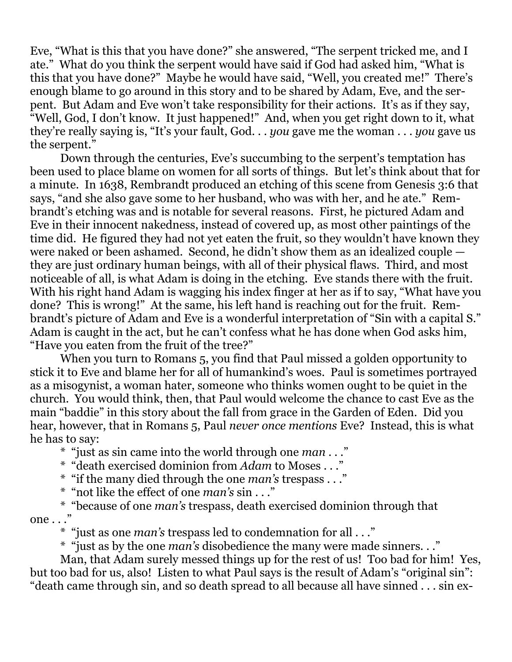Eve, "What is this that you have done?" she answered, "The serpent tricked me, and I ate." What do you think the serpent would have said if God had asked him, "What is this that you have done?" Maybe he would have said, "Well, you created me!" There's enough blame to go around in this story and to be shared by Adam, Eve, and the serpent. But Adam and Eve won't take responsibility for their actions. It's as if they say, "Well, God, I don't know. It just happened!" And, when you get right down to it, what they're really saying is, "It's your fault, God. . . *you* gave me the woman . . . *you* gave us the serpent."

 Down through the centuries, Eve's succumbing to the serpent's temptation has been used to place blame on women for all sorts of things. But let's think about that for a minute. In 1638, Rembrandt produced an etching of this scene from Genesis 3:6 that says, "and she also gave some to her husband, who was with her, and he ate." Rembrandt's etching was and is notable for several reasons. First, he pictured Adam and Eve in their innocent nakedness, instead of covered up, as most other paintings of the time did. He figured they had not yet eaten the fruit, so they wouldn't have known they were naked or been ashamed. Second, he didn't show them as an idealized couple they are just ordinary human beings, with all of their physical flaws. Third, and most noticeable of all, is what Adam is doing in the etching. Eve stands there with the fruit. With his right hand Adam is wagging his index finger at her as if to say, "What have you done? This is wrong!" At the same, his left hand is reaching out for the fruit. Rembrandt's picture of Adam and Eve is a wonderful interpretation of "Sin with a capital S." Adam is caught in the act, but he can't confess what he has done when God asks him, "Have you eaten from the fruit of the tree?"

 When you turn to Romans 5, you find that Paul missed a golden opportunity to stick it to Eve and blame her for all of humankind's woes. Paul is sometimes portrayed as a misogynist, a woman hater, someone who thinks women ought to be quiet in the church. You would think, then, that Paul would welcome the chance to cast Eve as the main "baddie" in this story about the fall from grace in the Garden of Eden. Did you hear, however, that in Romans 5, Paul *never once mentions* Eve? Instead, this is what he has to say:

\* "just as sin came into the world through one *man* . . ."

\* "death exercised dominion from *Adam* to Moses . . ."

\* "if the many died through the one *man's* trespass . . ."

\* "not like the effect of one *man's* sin . . ."

 \* "because of one *man's* trespass, death exercised dominion through that one . . ."

\* "just as one *man's* trespass led to condemnation for all . . ."

\* "just as by the one *man's* disobedience the many were made sinners. . ."

 Man, that Adam surely messed things up for the rest of us! Too bad for him! Yes, but too bad for us, also! Listen to what Paul says is the result of Adam's "original sin": "death came through sin, and so death spread to all because all have sinned . . . sin ex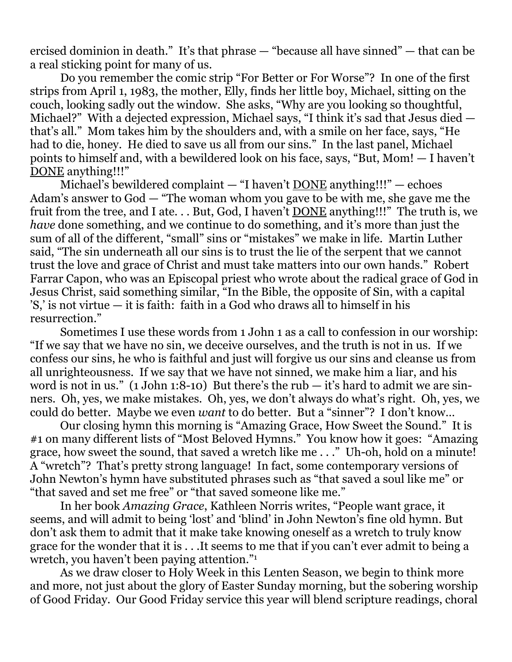ercised dominion in death." It's that phrase — "because all have sinned" — that can be a real sticking point for many of us.

 Do you remember the comic strip "For Better or For Worse"? In one of the first strips from April 1, 1983, the mother, Elly, finds her little boy, Michael, sitting on the couch, looking sadly out the window. She asks, "Why are you looking so thoughtful, Michael?" With a dejected expression, Michael says, "I think it's sad that Jesus died that's all." Mom takes him by the shoulders and, with a smile on her face, says, "He had to die, honey. He died to save us all from our sins." In the last panel, Michael points to himself and, with a bewildered look on his face, says, "But, Mom! — I haven't DONE anything!!!"

Michael's bewildered complaint  $-$  "I haven't <u>DONE</u> anything!!!"  $-$  echoes Adam's answer to God — "The woman whom you gave to be with me, she gave me the fruit from the tree, and I ate. . . But, God, I haven't DONE anything!!!" The truth is, we *have* done something, and we continue to do something, and it's more than just the sum of all of the different, "small" sins or "mistakes" we make in life. Martin Luther said, "The sin underneath all our sins is to trust the lie of the serpent that we cannot trust the love and grace of Christ and must take matters into our own hands." Robert Farrar Capon, who was an Episcopal priest who wrote about the radical grace of God in Jesus Christ, said something similar, "In the Bible, the opposite of Sin, with a capital 'S,' is not virtue — it is faith: faith in a God who draws all to himself in his resurrection."

 Sometimes I use these words from 1 John 1 as a call to confession in our worship: "If we say that we have no sin, we deceive ourselves, and the truth is not in us. If we confess our sins, he who is faithful and just will forgive us our sins and cleanse us from all unrighteousness. If we say that we have not sinned, we make him a liar, and his word is not in us."  $(1$  John 1:8-10) But there's the rub  $-$  it's hard to admit we are sinners. Oh, yes, we make mistakes. Oh, yes, we don't always do what's right. Oh, yes, we could do better. Maybe we even *want* to do better. But a "sinner"? I don't know…

 Our closing hymn this morning is "Amazing Grace, How Sweet the Sound." It is #1 on many different lists of "Most Beloved Hymns." You know how it goes: "Amazing grace, how sweet the sound, that saved a wretch like me . . ." Uh-oh, hold on a minute! A "wretch"? That's pretty strong language! In fact, some contemporary versions of John Newton's hymn have substituted phrases such as "that saved a soul like me" or "that saved and set me free" or "that saved someone like me."

 In her book *Amazing Grace*, Kathleen Norris writes, "People want grace, it seems, and will admit to being 'lost' and 'blind' in John Newton's fine old hymn. But don't ask them to admit that it make take knowing oneself as a wretch to truly know grace for the wonder that it is . . .It seems to me that if you can't ever admit to being a wretch, you haven't been paying attention."1

 As we draw closer to Holy Week in this Lenten Season, we begin to think more and more, not just about the glory of Easter Sunday morning, but the sobering worship of Good Friday. Our Good Friday service this year will blend scripture readings, choral